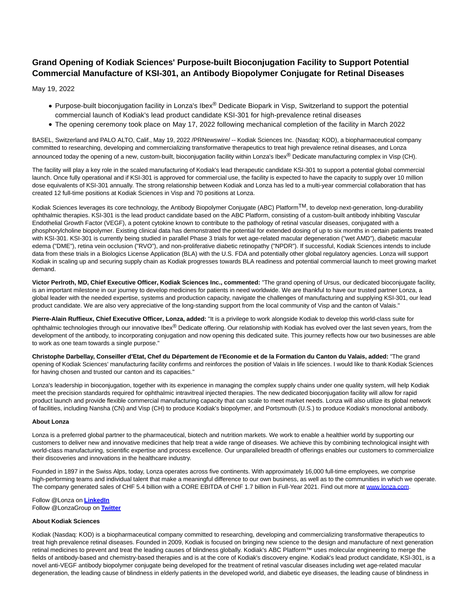# **Grand Opening of Kodiak Sciences' Purpose-built Bioconjugation Facility to Support Potential Commercial Manufacture of KSI-301, an Antibody Biopolymer Conjugate for Retinal Diseases**

May 19, 2022

- Purpose-built bioconjugation facility in Lonza's Ibex<sup>®</sup> Dedicate Biopark in Visp, Switzerland to support the potential commercial launch of Kodiak's lead product candidate KSI-301 for high-prevalence retinal diseases
- The opening ceremony took place on May 17, 2022 following mechanical completion of the facility in March 2022

BASEL, Switzerland and PALO ALTO, Calif., May 19, 2022 /PRNewswire/ -- Kodiak Sciences Inc. (Nasdaq: KOD), a biopharmaceutical company committed to researching, developing and commercializing transformative therapeutics to treat high prevalence retinal diseases, and Lonza announced today the opening of a new, custom-built, bioconjugation facility within Lonza's Ibex® Dedicate manufacturing complex in Visp (CH).

The facility will play a key role in the scaled manufacturing of Kodiak's lead therapeutic candidate KSI-301 to support a potential global commercial launch. Once fully operational and if KSI-301 is approved for commercial use, the facility is expected to have the capacity to supply over 10 million dose equivalents of KSI-301 annually. The strong relationship between Kodiak and Lonza has led to a multi-year commercial collaboration that has created 12 full-time positions at Kodiak Sciences in Visp and 70 positions at Lonza.

Kodiak Sciences leverages its core technology, the Antibody Biopolymer Conjugate (ABC) PlatformTM, to develop next-generation, long-durability ophthalmic therapies. KSI-301 is the lead product candidate based on the ABC Platform, consisting of a custom-built antibody inhibiting Vascular Endothelial Growth Factor (VEGF), a potent cytokine known to contribute to the pathology of retinal vascular diseases, conjugated with a phosphorylcholine biopolymer. Existing clinical data has demonstrated the potential for extended dosing of up to six months in certain patients treated with KSI-301. KSI-301 is currently being studied in parallel Phase 3 trials for wet age-related macular degeneration ("wet AMD"), diabetic macular edema ("DME"), retina vein occlusion ("RVO"), and non-proliferative diabetic retinopathy ("NPDR"). If successful, Kodiak Sciences intends to include data from these trials in a Biologics License Application (BLA) with the U.S. FDA and potentially other global regulatory agencies. Lonza will support Kodiak in scaling up and securing supply chain as Kodiak progresses towards BLA readiness and potential commercial launch to meet growing market demand.

**Victor Perlroth, MD, Chief Executive Officer, Kodiak Sciences Inc., commented:** "The grand opening of Ursus, our dedicated bioconjugate facility, is an important milestone in our journey to develop medicines for patients in need worldwide. We are thankful to have our trusted partner Lonza, a global leader with the needed expertise, systems and production capacity, navigate the challenges of manufacturing and supplying KSI-301, our lead product candidate. We are also very appreciative of the long-standing support from the local community of Visp and the canton of Valais."

**Pierre-Alain Ruffieux, Chief Executive Officer, Lonza, added:** "It is a privilege to work alongside Kodiak to develop this world-class suite for ophthalmic technologies through our innovative Ibex® Dedicate offering. Our relationship with Kodiak has evolved over the last seven years, from the development of the antibody, to incorporating conjugation and now opening this dedicated suite. This journey reflects how our two businesses are able to work as one team towards a single purpose."

**Christophe Darbellay, Conseiller d'Etat, Chef du Département de l'Economie et de la Formation du Canton du Valais, added:** "The grand opening of Kodiak Sciences' manufacturing facility confirms and reinforces the position of Valais in life sciences. I would like to thank Kodiak Sciences for having chosen and trusted our canton and its capacities."

Lonza's leadership in bioconjugation, together with its experience in managing the complex supply chains under one quality system, will help Kodiak meet the precision standards required for ophthalmic intravitreal injected therapies. The new dedicated bioconjugation facility will allow for rapid product launch and provide flexible commercial manufacturing capacity that can scale to meet market needs. Lonza will also utilize its global network of facilities, including Nansha (CN) and Visp (CH) to produce Kodiak's biopolymer, and Portsmouth (U.S.) to produce Kodiak's monoclonal antibody.

## **About Lonza**

Lonza is a preferred global partner to the pharmaceutical, biotech and nutrition markets. We work to enable a healthier world by supporting our customers to deliver new and innovative medicines that help treat a wide range of diseases. We achieve this by combining technological insight with world-class manufacturing, scientific expertise and process excellence. Our unparalleled breadth of offerings enables our customers to commercialize their discoveries and innovations in the healthcare industry.

Founded in 1897 in the Swiss Alps, today, Lonza operates across five continents. With approximately 16,000 full-time employees, we comprise high-performing teams and individual talent that make a meaningful difference to our own business, as well as to the communities in which we operate. The company generated sales of CHF 5.4 billion with a CORE EBITDA of CHF 1.7 billion in Full-Year 2021. Find out more at [www.lonza.com.](https://c212.net/c/link/?t=0&l=en&o=3542090-1&h=2802054679&u=http%3A%2F%2Fwww.lonza.com%2F&a=www.lonza.com)

Follow @Lonza on **[LinkedIn](https://c212.net/c/link/?t=0&l=en&o=3542090-1&h=3478644420&u=https%3A%2F%2Fwww.linkedin.com%2Fcompany%2Flonza%2F&a=LinkedIn)** Follow @LonzaGroup on **[Twitter](https://c212.net/c/link/?t=0&l=en&o=3542090-1&h=3621698178&u=http%3A%2F%2Fwww.twitter.com%2Flonzagroup&a=Twitter)**

## **About Kodiak Sciences**

Kodiak (Nasdaq: KOD) is a biopharmaceutical company committed to researching, developing and commercializing transformative therapeutics to treat high prevalence retinal diseases. Founded in 2009, Kodiak is focused on bringing new science to the design and manufacture of next generation retinal medicines to prevent and treat the leading causes of blindness globally. Kodiak's ABC Platform™ uses molecular engineering to merge the fields of antibody-based and chemistry-based therapies and is at the core of Kodiak's discovery engine. Kodiak's lead product candidate, KSI-301, is a novel anti-VEGF antibody biopolymer conjugate being developed for the treatment of retinal vascular diseases including wet age-related macular degeneration, the leading cause of blindness in elderly patients in the developed world, and diabetic eye diseases, the leading cause of blindness in